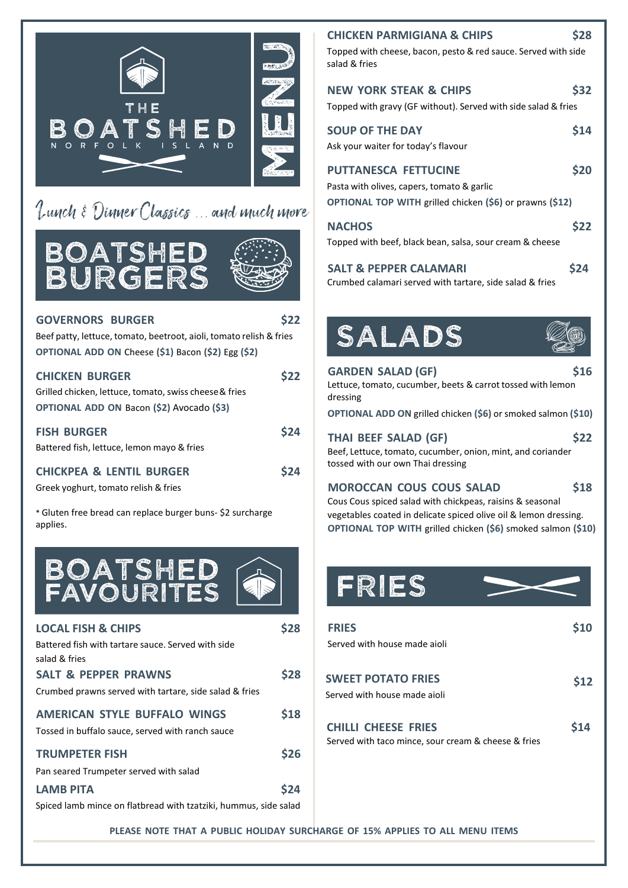

## Lunch & Dinner Classics ... and much mo





#### **GOVERNORS BURGER \$22**

Beef patty, lettuce, tomato, beetroot, aioli, tomato relish & fries **OPTIONAL ADD ON** Cheese **(\$1)** Bacon **(\$2)** Egg **(\$2)**

| <b>CHICKEN BURGER</b>                                  | \$22        |
|--------------------------------------------------------|-------------|
| Grilled chicken, lettuce, tomato, swiss cheese & fries |             |
| OPTIONAL ADD ON Bacon (\$2) Avocado (\$3)              |             |
| <b>FISH BURGER</b>                                     | <b>\$24</b> |
| Battered fish, lettuce, lemon mayo & fries             |             |
| A                                                      |             |

**CHICKPEA & LENTIL BURGER \$24**

Greek yoghurt, tomato relish & fries

\* Gluten free bread can replace burger buns- \$2 surcharge applies.



| <b>LOCAL FISH &amp; CHIPS</b>                                    | \$28 | <b>FRIES</b>                                               |
|------------------------------------------------------------------|------|------------------------------------------------------------|
| Battered fish with tartare sauce. Served with side               |      | Served with house made aio                                 |
| salad & fries                                                    |      |                                                            |
| <b>SALT &amp; PEPPER PRAWNS</b>                                  | \$28 | <b>SWEET POTATO FRIES</b>                                  |
| Crumbed prawns served with tartare, side salad & fries           |      | Served with house made aiol                                |
| AMERICAN STYLE BUFFALO WINGS                                     | \$18 |                                                            |
| Tossed in buffalo sauce, served with ranch sauce                 |      | <b>CHILLI CHEESE FRIES</b><br>Served with taco mince, sour |
| <b>TRUMPETER FISH</b>                                            | \$26 |                                                            |
| Pan seared Trumpeter served with salad                           |      |                                                            |
| <b>LAMB PITA</b>                                                 | \$24 |                                                            |
| Spiced lamb mince on flatbread with tzatziki, hummus, side salad |      |                                                            |

|    | <b>CHICKEN PARMIGIANA &amp; CHIPS</b>                                                                                                 | S28        |
|----|---------------------------------------------------------------------------------------------------------------------------------------|------------|
|    | Topped with cheese, bacon, pesto & red sauce. Served with side<br>salad & fries                                                       |            |
|    | <b>NEW YORK STEAK &amp; CHIPS</b><br>Topped with gravy (GF without). Served with side salad & fries                                   | <b>S32</b> |
|    | <b>SOUP OF THE DAY</b><br>Ask your waiter for today's flavour                                                                         | \$14       |
|    | <b>PUTTANESCA FETTUCINE</b><br>Pasta with olives, capers, tomato & garlic<br>OPTIONAL TOP WITH grilled chicken (\$6) or prawns (\$12) | <b>S20</b> |
| ve | <b>NACHOS</b><br>Topped with beef, black bean, salsa, sour cream & cheese                                                             | <b>S22</b> |
|    | <b>SALT &amp; PEPPER CALAMARI</b><br>Crumbed calamari served with tartare, side salad & fries                                         | S24        |
|    |                                                                                                                                       |            |



#### **GARDEN SALAD (GF) \$16** Lettuce, tomato, cucumber, beets & carrot tossed with lemon dressing

**OPTIONAL ADD ON** grilled chicken **(\$6)** or smoked salmon **(\$10)**

| THAI BEEF SALAD (GF) |  | \$22 |
|----------------------|--|------|
|----------------------|--|------|

Beef, Lettuce, tomato, cucumber, onion, mint, and coriander tossed with our own Thai dressing

#### **MOROCCAN COUS COUS SALAD \$18**

Cous Cous spiced salad with chickpeas, raisins & seasonal vegetables coated in delicate spiced olive oil & lemon dressing. **OPTIONAL TOP WITH** grilled chicken **(\$6)** smoked salmon **(\$10)**

# FRIES

| <b>FRIFS</b>                                        |      |
|-----------------------------------------------------|------|
| Served with house made aioli                        |      |
|                                                     |      |
| <b>SWEET POTATO FRIES</b>                           | \$12 |
| Served with house made aioli                        |      |
|                                                     |      |
| <b>CHILLI CHEESE FRIES</b>                          |      |
| Served with taco mince, sour cream & cheese & fries |      |
|                                                     |      |

**PLEASE NOTE THAT A PUBLIC HOLIDAY SURCHARGE OF 15% APPLIES TO ALL MENU ITEMS**